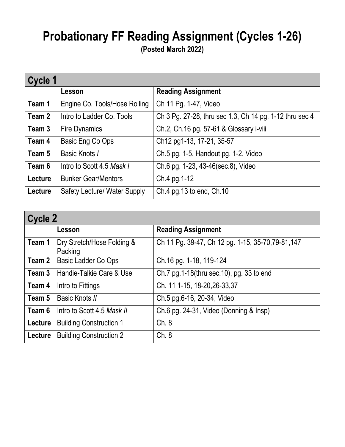## **Probationary FF Reading Assignment (Cycles 1-26)**

**(Posted March 2022)**

| Cycle 1 |                                     |                                                         |
|---------|-------------------------------------|---------------------------------------------------------|
|         | Lesson                              | <b>Reading Assignment</b>                               |
| Team 1  | Engine Co. Tools/Hose Rolling       | Ch 11 Pg. 1-47, Video                                   |
| Team 2  | Intro to Ladder Co. Tools           | Ch 3 Pg. 27-28, thru sec 1.3, Ch 14 pg. 1-12 thru sec 4 |
| Team 3  | <b>Fire Dynamics</b>                | Ch.2, Ch.16 pg. 57-61 & Glossary i-viii                 |
| Team 4  | Basic Eng Co Ops                    | Ch12 pg1-13, 17-21, 35-57                               |
| Team 5  | Basic Knots /                       | Ch.5 pg. 1-5, Handout pg. 1-2, Video                    |
| Team 6  | Intro to Scott 4.5 Mask I           | Ch.6 pg. 1-23, 43-46(sec.8), Video                      |
| Lecture | <b>Bunker Gear/Mentors</b>          | Ch.4 pg.1-12                                            |
| Lecture | <b>Safety Lecture/ Water Supply</b> | Ch.4 pg.13 to end, Ch.10                                |

| <b>Cycle 2</b> |                                       |                                                    |
|----------------|---------------------------------------|----------------------------------------------------|
|                | Lesson                                | <b>Reading Assignment</b>                          |
| Team 1         | Dry Stretch/Hose Folding &<br>Packing | Ch 11 Pg. 39-47, Ch 12 pg. 1-15, 35-70, 79-81, 147 |
| Team 2         | Basic Ladder Co Ops                   | Ch.16 pg. 1-18, 119-124                            |
| Team 3         | Handie-Talkie Care & Use              | Ch.7 pg.1-18(thru sec.10), pg. 33 to end           |
| Team 4         | Intro to Fittings                     | Ch. 11 1-15, 18-20, 26-33, 37                      |
| Team 5         | Basic Knots II                        | Ch.5 pg.6-16, 20-34, Video                         |
| Team 6         | Intro to Scott 4.5 Mask II            | Ch.6 pg. 24-31, Video (Donning & Insp)             |
| Lecture        | <b>Building Construction 1</b>        | Ch.8                                               |
| Lecture        | <b>Building Construction 2</b>        | Ch. 8                                              |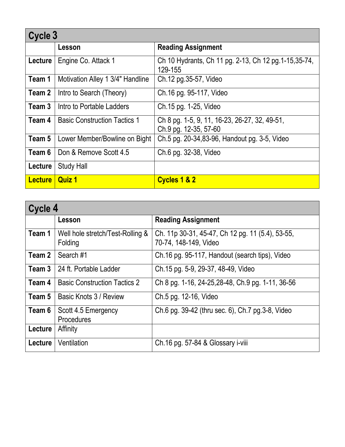| Cycle 3        |                                     |                                                                        |
|----------------|-------------------------------------|------------------------------------------------------------------------|
|                | Lesson                              | <b>Reading Assignment</b>                                              |
| Lecture        | Engine Co. Attack 1                 | Ch 10 Hydrants, Ch 11 pg. 2-13, Ch 12 pg. 1-15, 35-74,<br>129-155      |
| Team 1         | Motivation Alley 1 3/4" Handline    | Ch.12 pg.35-57, Video                                                  |
| Team 2         | Intro to Search (Theory)            | Ch.16 pg. 95-117, Video                                                |
| Team 3         | Intro to Portable Ladders           | Ch.15 pg. 1-25, Video                                                  |
| Team 4         | <b>Basic Construction Tactics 1</b> | Ch 8 pg. 1-5, 9, 11, 16-23, 26-27, 32, 49-51,<br>Ch.9 pg. 12-35, 57-60 |
| Team 5         | Lower Member/Bowline on Bight       | Ch.5 pg. 20-34,83-96, Handout pg. 3-5, Video                           |
| Team 6         | Don & Remove Scott 4.5              | Ch.6 pg. 32-38, Video                                                  |
| Lecture        | <b>Study Hall</b>                   |                                                                        |
| <b>Lecture</b> | <b>Quiz 1</b>                       | Cycles 1 & 2                                                           |

| Cycle 4 |                                             |                                                                           |
|---------|---------------------------------------------|---------------------------------------------------------------------------|
|         | Lesson                                      | <b>Reading Assignment</b>                                                 |
| Team 1  | Well hole stretch/Test-Rolling &<br>Folding | Ch. 11p 30-31, 45-47, Ch 12 pg. 11 (5.4), 53-55,<br>70-74, 148-149, Video |
| Team 2  | Search#1                                    | Ch.16 pg. 95-117, Handout (search tips), Video                            |
| Team 3  | 24 ft. Portable Ladder                      | Ch.15 pg. 5-9, 29-37, 48-49, Video                                        |
| Team 4  | <b>Basic Construction Tactics 2</b>         | Ch 8 pg. 1-16, 24-25, 28-48, Ch. 9 pg. 1-11, 36-56                        |
| Team 5  | Basic Knots 3 / Review                      | Ch.5 pg. 12-16, Video                                                     |
| Team 6  | Scott 4.5 Emergency<br>Procedures           | Ch.6 pg. 39-42 (thru sec. 6), Ch.7 pg.3-8, Video                          |
| Lecture | Affinity                                    |                                                                           |
| Lecture | Ventilation                                 | Ch.16 pg. 57-84 & Glossary i-viii                                         |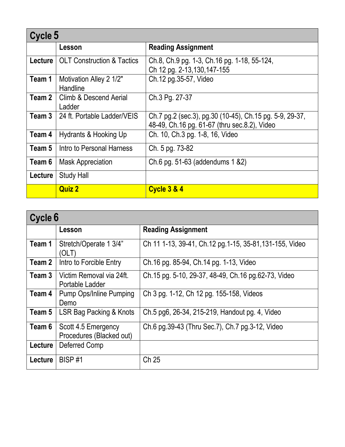| Cycle 5        |                                       |                                                                                                         |
|----------------|---------------------------------------|---------------------------------------------------------------------------------------------------------|
|                | Lesson                                | <b>Reading Assignment</b>                                                                               |
| <b>Lecture</b> | <b>OLT Construction &amp; Tactics</b> | Ch.8, Ch.9 pg. 1-3, Ch.16 pg. 1-18, 55-124,<br>Ch 12 pg. 2-13, 130, 147-155                             |
| Team 1         | Motivation Alley 2 1/2"<br>Handline   | Ch.12 pg.35-57, Video                                                                                   |
| Team 2         | Climb & Descend Aerial<br>Ladder      | Ch.3 Pg. 27-37                                                                                          |
| Team 3         | 24 ft. Portable Ladder/VEIS           | Ch.7 pg.2 (sec.3), pg.30 (10-45), Ch.15 pg. 5-9, 29-37,<br>48-49, Ch.16 pg. 61-67 (thru sec.8.2), Video |
| Team 4         | <b>Hydrants &amp; Hooking Up</b>      | Ch. 10, Ch.3 pg. 1-8, 16, Video                                                                         |
| Team 5         | Intro to Personal Harness             | Ch. 5 pg. 73-82                                                                                         |
| Team 6         | <b>Mask Appreciation</b>              | Ch.6 pg. 51-63 (addendums 1 & 2)                                                                        |
| Lecture        | <b>Study Hall</b>                     |                                                                                                         |
|                | <b>Quiz 2</b>                         | <b>Cycle 3 &amp; 4</b>                                                                                  |

| Cycle 6 |                                                 |                                                         |
|---------|-------------------------------------------------|---------------------------------------------------------|
|         | Lesson                                          | <b>Reading Assignment</b>                               |
| Team 1  | Stretch/Operate 1 3/4"<br>(OLT)                 | Ch 11 1-13, 39-41, Ch.12 pg.1-15, 35-81, 131-155, Video |
| Team 2  | Intro to Forcible Entry                         | Ch.16 pg. 85-94, Ch.14 pg. 1-13, Video                  |
| Team 3  | Victim Removal via 24ft.<br>Portable Ladder     | Ch.15 pg. 5-10, 29-37, 48-49, Ch.16 pg.62-73, Video     |
| Team 4  | Pump Ops/Inline Pumping<br>Demo                 | Ch 3 pg. 1-12, Ch 12 pg. 155-158, Videos                |
| Team 5  | <b>LSR Bag Packing &amp; Knots</b>              | Ch.5 pg6, 26-34, 215-219, Handout pg. 4, Video          |
| Team 6  | Scott 4.5 Emergency<br>Procedures (Blacked out) | Ch.6 pg.39-43 (Thru Sec.7), Ch.7 pg.3-12, Video         |
| Lecture | Deferred Comp                                   |                                                         |
| Lecture | BISP#1                                          | Ch 25                                                   |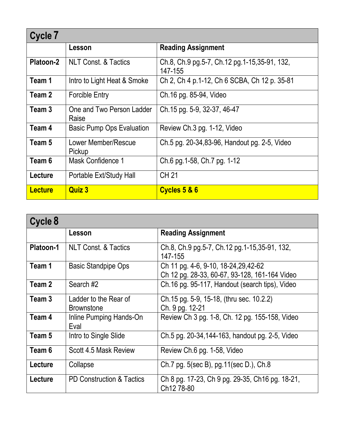| Cycle 7        |                                    |                                                         |
|----------------|------------------------------------|---------------------------------------------------------|
|                | Lesson                             | <b>Reading Assignment</b>                               |
| Platoon-2      | <b>NLT Const. &amp; Tactics</b>    | Ch.8, Ch.9 pg.5-7, Ch.12 pg.1-15,35-91, 132,<br>147-155 |
| Team 1         | Intro to Light Heat & Smoke        | Ch 2, Ch 4 p.1-12, Ch 6 SCBA, Ch 12 p. 35-81            |
| Team 2         | <b>Forcible Entry</b>              | Ch.16 pg. 85-94, Video                                  |
| Team 3         | One and Two Person Ladder<br>Raise | Ch.15 pg. 5-9, 32-37, 46-47                             |
| Team 4         | <b>Basic Pump Ops Evaluation</b>   | Review Ch.3 pg. 1-12, Video                             |
| Team 5         | Lower Member/Rescue<br>Pickup      | Ch.5 pg. 20-34,83-96, Handout pg. 2-5, Video            |
| Team 6         | Mask Confidence 1                  | Ch.6 pg.1-58, Ch.7 pg. 1-12                             |
| Lecture        | Portable Ext/Study Hall            | CH 21                                                   |
| <b>Lecture</b> | <b>Quiz 3</b>                      | Cycles 5 & 6                                            |

| Cycle 8          |                                            |                                                                                        |
|------------------|--------------------------------------------|----------------------------------------------------------------------------------------|
|                  | Lesson                                     | <b>Reading Assignment</b>                                                              |
| <b>Platoon-1</b> | <b>NLT Const. &amp; Tactics</b>            | Ch.8, Ch.9 pg.5-7, Ch.12 pg.1-15,35-91, 132,<br>147-155                                |
| Team 1           | <b>Basic Standpipe Ops</b>                 | Ch 11 pg. 4-6, 9-10, 18-24, 29, 42-62<br>Ch 12 pg. 28-33, 60-67, 93-128, 161-164 Video |
| Team 2           | Search#2                                   | Ch.16 pg. 95-117, Handout (search tips), Video                                         |
| Team 3           | Ladder to the Rear of<br><b>Brownstone</b> | Ch.15 pg. 5-9, 15-18, (thru sec. 10.2.2)<br>Ch. 9 pg. 12-21                            |
| Team 4           | Inline Pumping Hands-On<br>Eval            | Review Ch 3 pg. 1-8, Ch. 12 pg. 155-158, Video                                         |
| Team 5           | Intro to Single Slide                      | Ch.5 pg. 20-34, 144-163, handout pg. 2-5, Video                                        |
| Team 6           | Scott 4.5 Mask Review                      | Review Ch.6 pg. 1-58, Video                                                            |
| Lecture          | Collapse                                   | Ch.7 pg. 5(sec B), pg.11(sec D.), Ch.8                                                 |
| Lecture          | <b>PD Construction &amp; Tactics</b>       | Ch 8 pg. 17-23, Ch 9 pg. 29-35, Ch 16 pg. 18-21,<br>Ch12 78-80                         |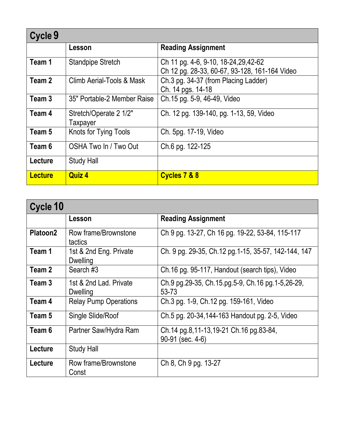| Cycle 9        |                                    |                                                                                        |
|----------------|------------------------------------|----------------------------------------------------------------------------------------|
|                | Lesson                             | <b>Reading Assignment</b>                                                              |
| Team 1         | <b>Standpipe Stretch</b>           | Ch 11 pg. 4-6, 9-10, 18-24, 29, 42-62<br>Ch 12 pg. 28-33, 60-67, 93-128, 161-164 Video |
| Team 2         | Climb Aerial-Tools & Mask          | Ch.3 pg. 34-37 (from Placing Ladder)<br>Ch. 14 pgs. 14-18                              |
| Team 3         | 35" Portable-2 Member Raise        | Ch.15 pg. 5-9, 46-49, Video                                                            |
| Team 4         | Stretch/Operate 2 1/2"<br>Taxpayer | Ch. 12 pg. 139-140, pg. 1-13, 59, Video                                                |
| Team 5         | Knots for Tying Tools              | Ch. 5pg. 17-19, Video                                                                  |
| Team 6         | OSHA Two In / Two Out              | Ch.6 pg. 122-125                                                                       |
| Lecture        | <b>Study Hall</b>                  |                                                                                        |
| <b>Lecture</b> | <b>Quiz 4</b>                      | Cycles 7 & 8                                                                           |

| Cycle 10             |                                           |                                                            |
|----------------------|-------------------------------------------|------------------------------------------------------------|
|                      | Lesson                                    | <b>Reading Assignment</b>                                  |
| Platoon <sub>2</sub> | Row frame/Brownstone<br>tactics           | Ch 9 pg. 13-27, Ch 16 pg. 19-22, 53-84, 115-117            |
| Team 1               | 1st & 2nd Eng. Private<br><b>Dwelling</b> | Ch. 9 pg. 29-35, Ch.12 pg.1-15, 35-57, 142-144, 147        |
| Team 2               | Search #3                                 | Ch.16 pg. 95-117, Handout (search tips), Video             |
| Team 3               | 1st & 2nd Lad. Private<br><b>Dwelling</b> | Ch.9 pg.29-35, Ch.15.pg.5-9, Ch.16 pg.1-5,26-29,<br>53-73  |
| Team 4               | <b>Relay Pump Operations</b>              | Ch.3 pg. 1-9, Ch.12 pg. 159-161, Video                     |
| Team 5               | Single Slide/Roof                         | Ch.5 pg. 20-34, 144-163 Handout pg. 2-5, Video             |
| Team 6               | Partner Saw/Hydra Ram                     | Ch.14 pg.8,11-13,19-21 Ch.16 pg.83-84,<br>90-91 (sec. 4-6) |
| Lecture              | <b>Study Hall</b>                         |                                                            |
| Lecture              | Row frame/Brownstone<br>Const             | Ch 8, Ch 9 pg. 13-27                                       |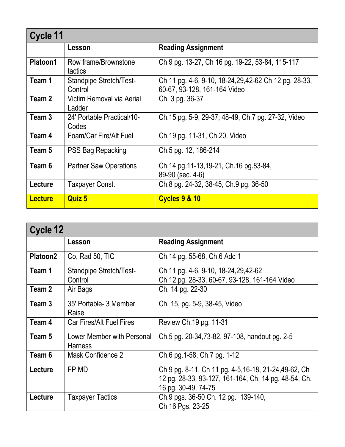| Cycle 11        |                                     |                                                                                        |
|-----------------|-------------------------------------|----------------------------------------------------------------------------------------|
|                 | Lesson                              | <b>Reading Assignment</b>                                                              |
| <b>Platoon1</b> | Row frame/Brownstone<br>tactics     | Ch 9 pg. 13-27, Ch 16 pg. 19-22, 53-84, 115-117                                        |
| Team 1          | Standpipe Stretch/Test-<br>Control  | Ch 11 pg. 4-6, 9-10, 18-24, 29, 42-62 Ch 12 pg. 28-33,<br>60-67, 93-128, 161-164 Video |
| Team 2          | Victim Removal via Aerial<br>Ladder | Ch. 3 pg. 36-37                                                                        |
| Team 3          | 24' Portable Practical/10-<br>Codes | Ch.15 pg. 5-9, 29-37, 48-49, Ch.7 pg. 27-32, Video                                     |
| Team 4          | Foam/Car Fire/Alt Fuel              | Ch.19 pg. 11-31, Ch.20, Video                                                          |
| Team 5          | PSS Bag Repacking                   | Ch.5 pg. 12, 186-214                                                                   |
| Team 6          | <b>Partner Saw Operations</b>       | Ch.14 pg.11-13,19-21, Ch.16 pg.83-84,<br>89-90 (sec. 4-6)                              |
| Lecture         | Taxpayer Const.                     | Ch.8 pg. 24-32, 38-45, Ch.9 pg. 36-50                                                  |
| <b>Lecture</b>  | <b>Quiz 5</b>                       | <b>Cycles 9 &amp; 10</b>                                                               |

| Cycle 12        |                                              |                                                                                                                                      |
|-----------------|----------------------------------------------|--------------------------------------------------------------------------------------------------------------------------------------|
|                 | Lesson                                       | <b>Reading Assignment</b>                                                                                                            |
| <b>Platoon2</b> | Co, Rad 50, TIC                              | Ch.14 pg. 55-68, Ch.6 Add 1                                                                                                          |
| Team 1          | Standpipe Stretch/Test-<br>Control           | Ch 11 pg. 4-6, 9-10, 18-24, 29, 42-62<br>Ch 12 pg. 28-33, 60-67, 93-128, 161-164 Video                                               |
| Team 2          | Air Bags                                     | Ch. 14 pg. 22-30                                                                                                                     |
| Team 3          | 35' Portable- 3 Member<br>Raise              | Ch. 15, pg. 5-9, 38-45, Video                                                                                                        |
| Team 4          | <b>Car Fires/Alt Fuel Fires</b>              | Review Ch.19 pg. 11-31                                                                                                               |
| Team 5          | Lower Member with Personal<br><b>Harness</b> | Ch.5 pg. 20-34,73-82, 97-108, handout pg. 2-5                                                                                        |
| Team 6          | Mask Confidence 2                            | Ch.6 pg.1-58, Ch.7 pg. 1-12                                                                                                          |
| Lecture         | FP MD                                        | Ch 9 pg. 8-11, Ch 11 pg. 4-5, 16-18, 21-24, 49-62, Ch<br>12 pg. 28-33, 93-127, 161-164, Ch. 14 pg. 48-54, Ch.<br>16 pg. 30-49, 74-75 |
| Lecture         | <b>Taxpayer Tactics</b>                      | Ch.9 pgs. 36-50 Ch. 12 pg. 139-140,<br>Ch 16 Pgs. 23-25                                                                              |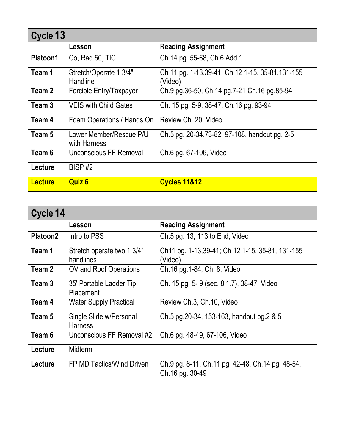| Cycle 13       |                                         |                                                             |
|----------------|-----------------------------------------|-------------------------------------------------------------|
|                | Lesson                                  | <b>Reading Assignment</b>                                   |
| Platoon1       | Co, Rad 50, TIC                         | Ch.14 pg. 55-68, Ch.6 Add 1                                 |
| Team 1         | Stretch/Operate 1 3/4"<br>Handline      | Ch 11 pg. 1-13,39-41, Ch 12 1-15, 35-81, 131-155<br>(Video) |
| Team 2         | Forcible Entry/Taxpayer                 | Ch.9 pg.36-50, Ch.14 pg.7-21 Ch.16 pg.85-94                 |
| Team 3         | <b>VEIS with Child Gates</b>            | Ch. 15 pg. 5-9, 38-47, Ch. 16 pg. 93-94                     |
| Team 4         | Foam Operations / Hands On              | Review Ch. 20, Video                                        |
| Team 5         | Lower Member/Rescue P/U<br>with Harness | Ch.5 pg. 20-34,73-82, 97-108, handout pg. 2-5               |
| Team 6         | Unconscious FF Removal                  | Ch.6 pg. 67-106, Video                                      |
| Lecture        | BISP#2                                  |                                                             |
| <b>Lecture</b> | <b>Quiz 6</b>                           | <b>Cycles 11&amp;12</b>                                     |

| Cycle 14 |                                             |                                                                     |
|----------|---------------------------------------------|---------------------------------------------------------------------|
|          | Lesson                                      | <b>Reading Assignment</b>                                           |
| Platoon2 | Intro to PSS                                | Ch.5 pg. 13, 113 to End, Video                                      |
| Team 1   | Stretch operate two 1 3/4"<br>handlines     | Ch11 pg. 1-13,39-41; Ch 12 1-15, 35-81, 131-155<br>(Video)          |
| Team 2   | OV and Roof Operations                      | Ch.16 pg.1-84, Ch. 8, Video                                         |
| Team 3   | 35' Portable Ladder Tip<br><b>Placement</b> | Ch. 15 pg. 5-9 (sec. 8.1.7), 38-47, Video                           |
| Team 4   | <b>Water Supply Practical</b>               | Review Ch.3, Ch.10, Video                                           |
| Team 5   | Single Slide w/Personal<br><b>Harness</b>   | Ch.5 pg.20-34, 153-163, handout pg.2 & 5                            |
| Team 6   | Unconscious FF Removal #2                   | Ch.6 pg. 48-49, 67-106, Video                                       |
| Lecture  | Midterm                                     |                                                                     |
| Lecture  | FP MD Tactics/Wind Driven                   | Ch.9 pg. 8-11, Ch.11 pg. 42-48, Ch.14 pg. 48-54,<br>Ch.16 pg. 30-49 |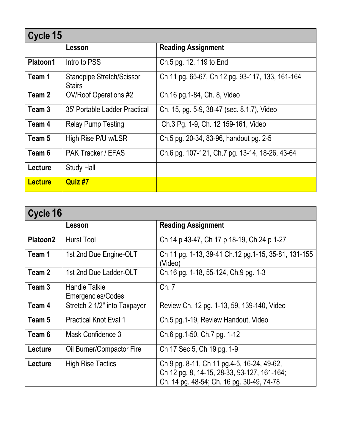|                | Cycle 15                                          |                                                 |  |
|----------------|---------------------------------------------------|-------------------------------------------------|--|
|                | Lesson                                            | <b>Reading Assignment</b>                       |  |
| Platoon1       | Intro to PSS                                      | Ch.5 pg. 12, 119 to End                         |  |
| Team 1         | <b>Standpipe Stretch/Scissor</b><br><b>Stairs</b> | Ch 11 pg. 65-67, Ch 12 pg. 93-117, 133, 161-164 |  |
| Team 2         | OV/Roof Operations #2                             | Ch.16 pg.1-84, Ch. 8, Video                     |  |
| Team 3         | 35' Portable Ladder Practical                     | Ch. 15, pg. 5-9, 38-47 (sec. 8.1.7), Video      |  |
| Team 4         | <b>Relay Pump Testing</b>                         | Ch.3 Pg. 1-9, Ch. 12 159-161, Video             |  |
| Team 5         | High Rise P/U w/LSR                               | Ch.5 pg. 20-34, 83-96, handout pg. 2-5          |  |
| Team 6         | <b>PAK Tracker / EFAS</b>                         | Ch.6 pg. 107-121, Ch.7 pg. 13-14, 18-26, 43-64  |  |
| Lecture        | <b>Study Hall</b>                                 |                                                 |  |
| <b>Lecture</b> | Quiz #7                                           |                                                 |  |

| Cycle 16        |                                           |                                                                                                                                         |
|-----------------|-------------------------------------------|-----------------------------------------------------------------------------------------------------------------------------------------|
|                 | Lesson                                    | <b>Reading Assignment</b>                                                                                                               |
| <b>Platoon2</b> | Hurst Tool                                | Ch 14 p 43-47, Ch 17 p 18-19, Ch 24 p 1-27                                                                                              |
| Team 1          | 1st 2nd Due Engine-OLT                    | Ch 11 pg. 1-13, 39-41 Ch.12 pg.1-15, 35-81, 131-155<br>(Video)                                                                          |
| Team 2          | 1st 2nd Due Ladder-OLT                    | Ch. 16 pg. 1-18, 55-124, Ch. 9 pg. 1-3                                                                                                  |
| Team 3          | <b>Handie Talkie</b><br>Emergencies/Codes | Ch. 7                                                                                                                                   |
| Team 4          | Stretch 2 1/2" into Taxpayer              | Review Ch. 12 pg. 1-13, 59, 139-140, Video                                                                                              |
| Team 5          | <b>Practical Knot Eval 1</b>              | Ch.5 pg.1-19, Review Handout, Video                                                                                                     |
| Team 6          | Mask Confidence 3                         | Ch.6 pg.1-50, Ch.7 pg. 1-12                                                                                                             |
| Lecture         | Oil Burner/Compactor Fire                 | Ch 17 Sec 5, Ch 19 pg. 1-9                                                                                                              |
| <b>Lecture</b>  | <b>High Rise Tactics</b>                  | Ch 9 pg. 8-11, Ch 11 pg. 4-5, 16-24, 49-62,<br>Ch 12 pg. 8, 14-15, 28-33, 93-127, 161-164;<br>Ch. 14 pg. 48-54; Ch. 16 pg. 30-49, 74-78 |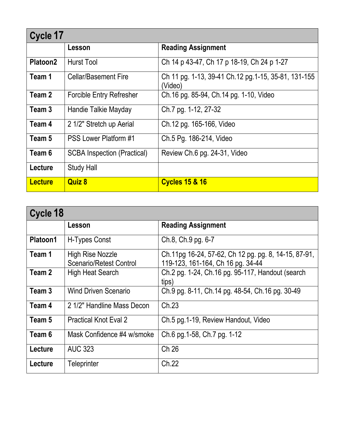| Cycle 17             |                                    |                                                                |
|----------------------|------------------------------------|----------------------------------------------------------------|
|                      | Lesson                             | <b>Reading Assignment</b>                                      |
| Platoon <sub>2</sub> | <b>Hurst Tool</b>                  | Ch 14 p 43-47, Ch 17 p 18-19, Ch 24 p 1-27                     |
| Team 1               | <b>Cellar/Basement Fire</b>        | Ch 11 pg. 1-13, 39-41 Ch.12 pg.1-15, 35-81, 131-155<br>(Video) |
| Team 2               | <b>Forcible Entry Refresher</b>    | Ch.16 pg. 85-94, Ch.14 pg. 1-10, Video                         |
| Team 3               | Handie Talkie Mayday               | Ch.7 pg. 1-12, 27-32                                           |
| Team 4               | 2 1/2" Stretch up Aerial           | Ch.12 pg. 165-166, Video                                       |
| Team 5               | <b>PSS Lower Platform #1</b>       | Ch.5 Pg. 186-214, Video                                        |
| Team 6               | <b>SCBA Inspection (Practical)</b> | Review Ch.6 pg. 24-31, Video                                   |
| Lecture              | <b>Study Hall</b>                  |                                                                |
| <b>Lecture</b>       | <b>Quiz 8</b>                      | <b>Cycles 15 &amp; 16</b>                                      |

| Cycle 18        |                                                           |                                                                                           |
|-----------------|-----------------------------------------------------------|-------------------------------------------------------------------------------------------|
|                 | Lesson                                                    | <b>Reading Assignment</b>                                                                 |
| <b>Platoon1</b> | H-Types Const                                             | Ch.8, Ch.9 pg. 6-7                                                                        |
| Team 1          | <b>High Rise Nozzle</b><br><b>Scenario/Retest Control</b> | Ch.11pg 16-24, 57-62, Ch 12 pg. pg. 8, 14-15, 87-91,<br>119-123, 161-164, Ch 16 pg. 34-44 |
| Team 2          | <b>High Heat Search</b>                                   | Ch.2 pg. 1-24, Ch.16 pg. 95-117, Handout (search)<br>tips)                                |
| Team 3          | <b>Wind Driven Scenario</b>                               | Ch.9 pg. 8-11, Ch.14 pg. 48-54, Ch.16 pg. 30-49                                           |
| Team 4          | 2 1/2" Handline Mass Decon                                | Ch.23                                                                                     |
| Team 5          | <b>Practical Knot Eval 2</b>                              | Ch.5 pg.1-19, Review Handout, Video                                                       |
| Team 6          | Mask Confidence #4 w/smoke                                | Ch.6 pg.1-58, Ch.7 pg. 1-12                                                               |
| Lecture         | <b>AUC 323</b>                                            | Ch 26                                                                                     |
| Lecture         | <b>Teleprinter</b>                                        | Ch.22                                                                                     |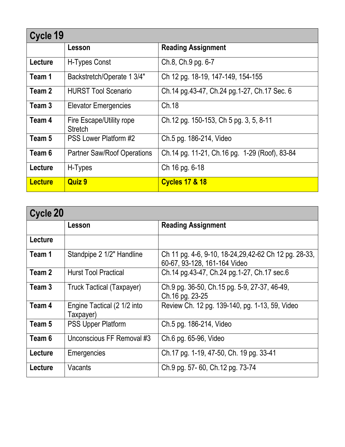| Cycle 19       |                                            |                                               |
|----------------|--------------------------------------------|-----------------------------------------------|
|                | Lesson                                     | <b>Reading Assignment</b>                     |
| Lecture        | H-Types Const                              | Ch.8, Ch.9 pg. 6-7                            |
| Team 1         | Backstretch/Operate 1 3/4"                 | Ch 12 pg. 18-19, 147-149, 154-155             |
| Team 2         | <b>HURST Tool Scenario</b>                 | Ch.14 pg.43-47, Ch.24 pg.1-27, Ch.17 Sec. 6   |
| Team 3         | <b>Elevator Emergencies</b>                | Ch.18                                         |
| Team 4         | Fire Escape/Utility rope<br><b>Stretch</b> | Ch.12 pg. 150-153, Ch 5 pg. 3, 5, 8-11        |
| Team 5         | <b>PSS Lower Platform #2</b>               | Ch.5 pg. 186-214, Video                       |
| Team 6         | Partner Saw/Roof Operations                | Ch.14 pg. 11-21, Ch.16 pg. 1-29 (Roof), 83-84 |
| Lecture        | H-Types                                    | Ch 16 pg. 6-18                                |
| <b>Lecture</b> | <b>Quiz 9</b>                              | <b>Cycles 17 &amp; 18</b>                     |

| Cycle 20 |                                          |                                                                                        |
|----------|------------------------------------------|----------------------------------------------------------------------------------------|
|          | Lesson                                   | <b>Reading Assignment</b>                                                              |
| Lecture  |                                          |                                                                                        |
| Team 1   | Standpipe 2 1/2" Handline                | Ch 11 pg. 4-6, 9-10, 18-24, 29, 42-62 Ch 12 pg. 28-33,<br>60-67, 93-128, 161-164 Video |
| Team 2   | <b>Hurst Tool Practical</b>              | Ch.14 pg.43-47, Ch.24 pg.1-27, Ch.17 sec.6                                             |
| Team 3   | <b>Truck Tactical (Taxpayer)</b>         | Ch.9 pg. 36-50, Ch.15 pg. 5-9, 27-37, 46-49,<br>Ch.16 pg. 23-25                        |
| Team 4   | Engine Tactical (2 1/2 into<br>Taxpayer) | Review Ch. 12 pg. 139-140, pg. 1-13, 59, Video                                         |
| Team 5   | <b>PSS Upper Platform</b>                | Ch.5 pg. 186-214, Video                                                                |
| Team 6   | Unconscious FF Removal #3                | Ch.6 pg. 65-96, Video                                                                  |
| Lecture  | Emergencies                              | Ch.17 pg. 1-19, 47-50, Ch. 19 pg. 33-41                                                |
| Lecture  | Vacants                                  | Ch.9 pg. 57-60, Ch.12 pg. 73-74                                                        |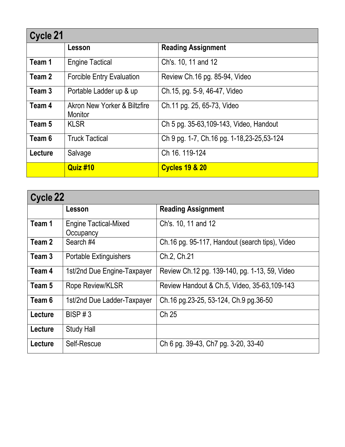| Cycle 21 |                                         |                                           |
|----------|-----------------------------------------|-------------------------------------------|
|          | Lesson                                  | <b>Reading Assignment</b>                 |
| Team 1   | <b>Engine Tactical</b>                  | Ch's. 10, 11 and 12                       |
| Team 2   | <b>Forcible Entry Evaluation</b>        | Review Ch.16 pg. 85-94, Video             |
| Team 3   | Portable Ladder up & up                 | Ch.15, pg. 5-9, 46-47, Video              |
| Team 4   | Akron New Yorker & Biltzfire<br>Monitor | Ch.11 pg. 25, 65-73, Video                |
| Team 5   | <b>KLSR</b>                             | Ch 5 pg. 35-63, 109-143, Video, Handout   |
| Team 6   | <b>Truck Tactical</b>                   | Ch 9 pg. 1-7, Ch.16 pg. 1-18,23-25,53-124 |
| Lecture  | Salvage                                 | Ch 16, 119-124                            |
|          | <b>Quiz #10</b>                         | <b>Cycles 19 &amp; 20</b>                 |

| Cycle 22 |                                           |                                                |
|----------|-------------------------------------------|------------------------------------------------|
|          | Lesson                                    | <b>Reading Assignment</b>                      |
| Team 1   | <b>Engine Tactical-Mixed</b><br>Occupancy | Ch's. 10, 11 and 12                            |
| Team 2   | Search #4                                 | Ch.16 pg. 95-117, Handout (search tips), Video |
| Team 3   | <b>Portable Extinguishers</b>             | Ch.2, Ch.21                                    |
| Team 4   | 1st/2nd Due Engine-Taxpayer               | Review Ch.12 pg. 139-140, pg. 1-13, 59, Video  |
| Team 5   | <b>Rope Review/KLSR</b>                   | Review Handout & Ch.5, Video, 35-63, 109-143   |
| Team 6   | 1st/2nd Due Ladder-Taxpayer               | Ch.16 pg.23-25, 53-124, Ch.9 pg.36-50          |
| Lecture  | BISP#3                                    | Ch 25                                          |
| Lecture  | <b>Study Hall</b>                         |                                                |
| Lecture  | Self-Rescue                               | Ch 6 pg. 39-43, Ch7 pg. 3-20, 33-40            |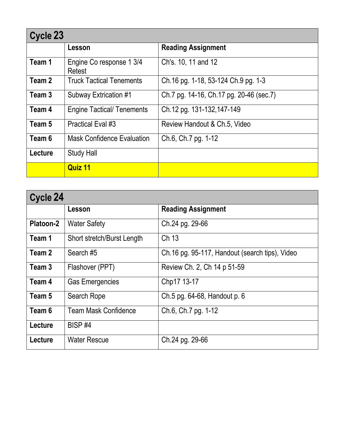| Cycle 23 |                                    |                                         |
|----------|------------------------------------|-----------------------------------------|
|          | Lesson                             | <b>Reading Assignment</b>               |
| Team 1   | Engine Co response 1 3/4<br>Retest | Ch's. 10, 11 and 12                     |
| Team 2   | <b>Truck Tactical Tenements</b>    | Ch.16 pg. 1-18, 53-124 Ch.9 pg. 1-3     |
| Team 3   | Subway Extrication #1              | Ch.7 pg. 14-16, Ch.17 pg. 20-46 (sec.7) |
| Team 4   | <b>Engine Tactical/ Tenements</b>  | Ch.12 pg. 131-132,147-149               |
| Team 5   | <b>Practical Eval #3</b>           | Review Handout & Ch.5, Video            |
| Team 6   | <b>Mask Confidence Evaluation</b>  | Ch.6, Ch.7 pg. 1-12                     |
| Lecture  | <b>Study Hall</b>                  |                                         |
|          | Quiz 11                            |                                         |

| Cycle 24  |                             |                                                |
|-----------|-----------------------------|------------------------------------------------|
|           | Lesson                      | <b>Reading Assignment</b>                      |
| Platoon-2 | <b>Water Safety</b>         | Ch.24 pg. 29-66                                |
| Team 1    | Short stretch/Burst Length  | Ch 13                                          |
| Team 2    | Search#5                    | Ch.16 pg. 95-117, Handout (search tips), Video |
| Team 3    | Flashover (PPT)             | Review Ch. 2, Ch 14 p 51-59                    |
| Team 4    | <b>Gas Emergencies</b>      | Chp17 13-17                                    |
| Team 5    | Search Rope                 | Ch.5 pg. 64-68, Handout p. 6                   |
| Team 6    | <b>Team Mask Confidence</b> | Ch.6, Ch.7 pg. 1-12                            |
| Lecture   | BISP <sub>#4</sub>          |                                                |
| Lecture   | <b>Water Rescue</b>         | Ch.24 pg. 29-66                                |